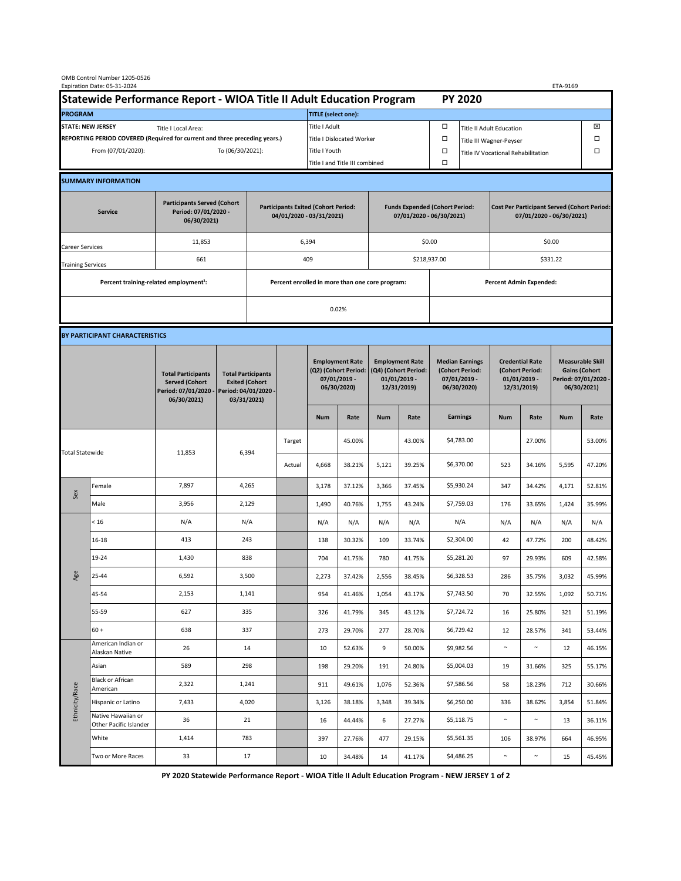|                                                                                             | OMB Control Number 1205-0526<br>Expiration Date: 05-31-2024<br>ETA-9169 |                                                                                           |                                                                                           |                                                                        |        |                                                                               |               |                                                                                 |                                |                                                                            |                                    |                                                                                |        |                                                                                        |        |  |  |
|---------------------------------------------------------------------------------------------|-------------------------------------------------------------------------|-------------------------------------------------------------------------------------------|-------------------------------------------------------------------------------------------|------------------------------------------------------------------------|--------|-------------------------------------------------------------------------------|---------------|---------------------------------------------------------------------------------|--------------------------------|----------------------------------------------------------------------------|------------------------------------|--------------------------------------------------------------------------------|--------|----------------------------------------------------------------------------------------|--------|--|--|
| Statewide Performance Report - WIOA Title II Adult Education Program                        |                                                                         |                                                                                           |                                                                                           |                                                                        |        |                                                                               |               |                                                                                 |                                |                                                                            |                                    | <b>PY 2020</b>                                                                 |        |                                                                                        |        |  |  |
| <b>PROGRAM</b>                                                                              |                                                                         |                                                                                           |                                                                                           |                                                                        |        | <b>TITLE</b> (select one):                                                    |               |                                                                                 |                                |                                                                            |                                    |                                                                                |        |                                                                                        |        |  |  |
| <b>STATE: NEW JERSEY</b><br>Title I Local Area:                                             |                                                                         |                                                                                           |                                                                                           |                                                                        |        | Title I Adult                                                                 |               |                                                                                 |                                | □<br><b>Title II Adult Education</b>                                       |                                    |                                                                                |        |                                                                                        | ⊠      |  |  |
| REPORTING PERIOD COVERED (Required for current and three preceding years.)                  |                                                                         |                                                                                           |                                                                                           |                                                                        |        | Title I Dislocated Worker                                                     |               |                                                                                 | Ω                              | Title III Wagner-Peyser                                                    |                                    |                                                                                |        | □                                                                                      |        |  |  |
| From (07/01/2020):                                                                          |                                                                         |                                                                                           |                                                                                           | To (06/30/2021):                                                       |        |                                                                               | Title I Youth |                                                                                 |                                | $\Box$                                                                     | Title IV Vocational Rehabilitation |                                                                                |        |                                                                                        | □      |  |  |
|                                                                                             |                                                                         |                                                                                           |                                                                                           |                                                                        |        | Title I and Title III combined                                                |               |                                                                                 |                                | Ω                                                                          |                                    |                                                                                |        |                                                                                        |        |  |  |
|                                                                                             | <b>SUMMARY INFORMATION</b>                                              |                                                                                           |                                                                                           |                                                                        |        |                                                                               |               |                                                                                 |                                |                                                                            |                                    |                                                                                |        |                                                                                        |        |  |  |
| <b>Participants Served (Cohort</b><br>Period: 07/01/2020 -<br><b>Service</b><br>06/30/2021) |                                                                         |                                                                                           |                                                                                           | <b>Participants Exited (Cohort Period:</b><br>04/01/2020 - 03/31/2021) |        |                                                                               |               | <b>Funds Expended (Cohort Period:</b><br>07/01/2020 - 06/30/2021)               |                                |                                                                            |                                    | <b>Cost Per Participant Served (Cohort Period:</b><br>07/01/2020 - 06/30/2021) |        |                                                                                        |        |  |  |
| Career Services                                                                             |                                                                         | 11,853                                                                                    |                                                                                           |                                                                        |        | 6,394                                                                         |               |                                                                                 |                                | \$0.00                                                                     |                                    | \$0.00                                                                         |        |                                                                                        |        |  |  |
| <b>Training Services</b>                                                                    |                                                                         | 661                                                                                       |                                                                                           | 409                                                                    |        |                                                                               |               | \$218,937.00                                                                    |                                |                                                                            | \$331.22                           |                                                                                |        |                                                                                        |        |  |  |
|                                                                                             | Percent training-related employment <sup>1</sup> :                      |                                                                                           | Percent enrolled in more than one core program:                                           |                                                                        |        |                                                                               |               |                                                                                 | <b>Percent Admin Expended:</b> |                                                                            |                                    |                                                                                |        |                                                                                        |        |  |  |
|                                                                                             |                                                                         |                                                                                           |                                                                                           |                                                                        | 0.02%  |                                                                               |               |                                                                                 |                                |                                                                            |                                    |                                                                                |        |                                                                                        |        |  |  |
|                                                                                             |                                                                         |                                                                                           |                                                                                           |                                                                        |        |                                                                               |               |                                                                                 |                                |                                                                            |                                    |                                                                                |        |                                                                                        |        |  |  |
|                                                                                             | BY PARTICIPANT CHARACTERISTICS                                          |                                                                                           |                                                                                           |                                                                        |        |                                                                               |               |                                                                                 |                                |                                                                            |                                    |                                                                                |        |                                                                                        |        |  |  |
|                                                                                             |                                                                         | <b>Total Participants</b><br><b>Served (Cohort</b><br>Period: 07/01/2020 -<br>06/30/2021) | <b>Total Participants</b><br><b>Exited (Cohort</b><br>Period: 04/01/2020 -<br>03/31/2021) |                                                                        |        | <b>Employment Rate</b><br>(Q2) (Cohort Period:<br>07/01/2019 -<br>06/30/2020) |               | <b>Employment Rate</b><br>(Q4) (Cohort Period:<br>$01/01/2019$ -<br>12/31/2019) |                                | <b>Median Earnings</b><br>(Cohort Period:<br>$07/01/2019 -$<br>06/30/2020) |                                    | <b>Credential Rate</b><br>(Cohort Period:<br>$01/01/2019$ -<br>12/31/2019)     |        | <b>Measurable Skill</b><br><b>Gains (Cohort</b><br>Period: 07/01/2020 -<br>06/30/2021) |        |  |  |
|                                                                                             |                                                                         |                                                                                           |                                                                                           |                                                                        |        | <b>Num</b>                                                                    | Rate          | <b>Num</b>                                                                      | Rate                           |                                                                            | <b>Earnings</b>                    | <b>Num</b>                                                                     | Rate   | <b>Num</b>                                                                             | Rate   |  |  |
| <b>Total Statewide</b>                                                                      |                                                                         | 11,853                                                                                    | 6,394                                                                                     |                                                                        | Target |                                                                               | 45.00%        |                                                                                 | 43.00%                         |                                                                            | \$4,783.00                         |                                                                                | 27.00% |                                                                                        | 53.00% |  |  |
|                                                                                             |                                                                         |                                                                                           |                                                                                           |                                                                        | Actual | 4,668                                                                         | 38.21%        | 5,121                                                                           | 39.25%                         |                                                                            | \$6,370.00                         | 523                                                                            | 34.16% | 5,595                                                                                  | 47.20% |  |  |
| Sex                                                                                         | Female                                                                  | 7,897                                                                                     | 4,265                                                                                     |                                                                        |        | 3,178                                                                         | 37.12%        | 3,366                                                                           | 37.45%                         |                                                                            | \$5,930.24                         | 347                                                                            | 34.42% | 4,171                                                                                  | 52.81% |  |  |
|                                                                                             | Male                                                                    | 3,956                                                                                     | 2,129                                                                                     |                                                                        |        | 1,490                                                                         | 40.76%        | 1,755                                                                           | 43.24%                         |                                                                            | \$7,759.03                         | 176                                                                            | 33.65% | 1,424                                                                                  | 35.99% |  |  |
| Age                                                                                         | < 16                                                                    | N/A                                                                                       | N/A                                                                                       |                                                                        |        | N/A                                                                           | N/A           | N/A                                                                             | N/A                            |                                                                            | N/A                                | N/A                                                                            | N/A    | N/A                                                                                    | N/A    |  |  |
|                                                                                             | $16 - 18$                                                               | 413                                                                                       | 243                                                                                       |                                                                        |        | 138                                                                           | 30.32%        | 109                                                                             | 33.74%                         |                                                                            | \$2,304.00                         | 42                                                                             | 47.72% | 200                                                                                    | 48.42% |  |  |
|                                                                                             | 19-24                                                                   | 1,430                                                                                     | 838                                                                                       |                                                                        |        | 704                                                                           | 41.75%        | 780                                                                             | 41.75%                         |                                                                            | \$5,281.20                         | 97                                                                             | 29.93% | 609                                                                                    | 42.58% |  |  |
|                                                                                             | 25-44                                                                   | 6,592                                                                                     | 3,500                                                                                     |                                                                        |        | 2,273                                                                         | 37.42%        | 2,556                                                                           | 38.45%                         |                                                                            | \$6,328.53                         | 286                                                                            | 35.75% | 3,032                                                                                  | 45.99% |  |  |
|                                                                                             | 45-54                                                                   | 2,153                                                                                     | 1,141                                                                                     |                                                                        |        | 954                                                                           | 41.46%        | 1,054                                                                           | 43.17%                         |                                                                            | \$7,743.50                         | 70                                                                             | 32.55% | 1,092                                                                                  | 50.71% |  |  |
|                                                                                             | 55-59                                                                   | 627                                                                                       | 335                                                                                       |                                                                        |        | 326                                                                           | 41.79%        | 345                                                                             | 43.12%                         |                                                                            | \$7,724.72                         | 16                                                                             | 25.80% | 321                                                                                    | 51.19% |  |  |
|                                                                                             | $60 +$<br>American Indian or                                            | 638                                                                                       | 337                                                                                       |                                                                        |        | 273                                                                           | 29.70%        | 277                                                                             | 28.70%                         |                                                                            | \$6,729.42                         | 12                                                                             | 28.57% | 341                                                                                    | 53.44% |  |  |
| Ethnicity/Race                                                                              | Alaskan Native                                                          | 26                                                                                        | 14                                                                                        |                                                                        |        | 10                                                                            | 52.63%        | 9                                                                               | 50.00%                         |                                                                            | \$9,982.56                         | $\sim$                                                                         | $\sim$ | 12                                                                                     | 46.15% |  |  |
|                                                                                             | Asian<br>Black or African                                               | 589                                                                                       | 298                                                                                       |                                                                        |        | 198                                                                           | 29.20%        | 191                                                                             | 24.80%                         |                                                                            | \$5,004.03                         | 19                                                                             | 31.66% | 325                                                                                    | 55.17% |  |  |
|                                                                                             | American                                                                | 2,322                                                                                     | 1,241                                                                                     |                                                                        |        | 911                                                                           | 49.61%        | 1,076                                                                           | 52.36%                         |                                                                            | \$7,586.56                         | 58                                                                             | 18.23% | 712                                                                                    | 30.66% |  |  |
|                                                                                             | Hispanic or Latino<br>Native Hawaiian or                                | 7,433                                                                                     | 4,020                                                                                     |                                                                        |        | 3,126                                                                         | 38.18%        | 3,348                                                                           | 39.34%                         |                                                                            | \$6,250.00                         | 336                                                                            | 38.62% | 3,854                                                                                  | 51.84% |  |  |
|                                                                                             | Other Pacific Islander                                                  | 36                                                                                        |                                                                                           | 21                                                                     |        | 16                                                                            | 44.44%        | 6                                                                               | 27.27%                         |                                                                            | \$5,118.75                         | $\sim$                                                                         | $\sim$ | 13                                                                                     | 36.11% |  |  |
|                                                                                             | White                                                                   | 1,414                                                                                     | 783                                                                                       |                                                                        |        | 397                                                                           | 27.76%        | 477                                                                             | 29.15%                         |                                                                            | \$5,561.35                         | 106                                                                            | 38.97% | 664                                                                                    | 46.95% |  |  |
|                                                                                             | Two or More Races                                                       | 33                                                                                        | 17                                                                                        |                                                                        |        | 10                                                                            | 34.48%        | 14                                                                              | 41.17%                         |                                                                            | \$4,486.25                         | $\sim$                                                                         | $\sim$ | 15                                                                                     | 45.45% |  |  |

**PY 2020 Statewide Performance Report - WIOA Title II Adult Education Program - NEW JERSEY 1 of 2**